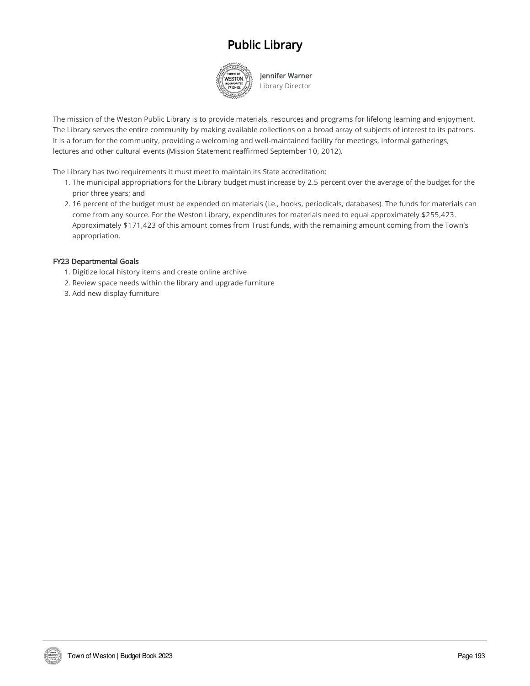## Public Library



Jennifer Warner Library Director

The mission of the Weston Public Library is to provide materials, resources and programs for lifelong learning and enjoyment. The Library serves the entire community by making available collections on a broad array of subjects of interest to its patrons. It is a forum for the community, providing a welcoming and well-maintained facility for meetings, informal gatherings, lectures and other cultural events (Mission Statement reaffirmed September 10, 2012).

The Library has two requirements it must meet to maintain its State accreditation:

- 1. The municipal appropriations for the Library budget must increase by 2.5 percent over the average of the budget for the prior three years; and
- 2. 16 percent of the budget must be expended on materials (i.e., books, periodicals, databases). The funds for materials can come from any source. For the Weston Library, expenditures for materials need to equal approximately \$255,423. Approximately \$171,423 of this amount comes from Trust funds, with the remaining amount coming from the Town's appropriation.

#### FY23 Departmental Goals

- 1. Digitize local history items and create online archive
- 2. Review space needs within the library and upgrade furniture
- 3. Add new display furniture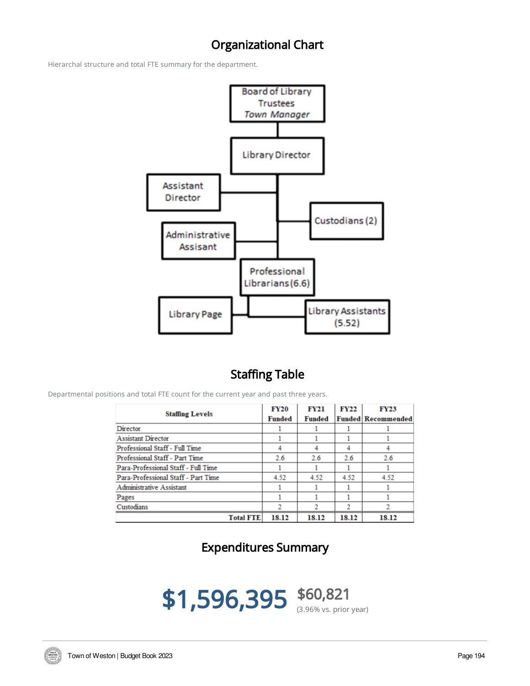### Organizational Chart

Hierarchal structure and total FTE summary for the department.



#### Staffing Table

Departmental positions and total FTE count for the current year and past three years.

| <b>Staffing Levels</b>              | <b>FY20</b><br><b>Funded</b> | <b>FY21</b><br><b>Funded</b> | FY22  | <b>FY23</b><br><b>Funded Recommended</b> |
|-------------------------------------|------------------------------|------------------------------|-------|------------------------------------------|
| Director                            |                              |                              |       |                                          |
| <b>Assistant Director</b>           |                              |                              |       |                                          |
| Professional Staff - Full Time      |                              |                              |       |                                          |
| Professional Staff - Part Time      | 2.6                          | 2.6                          | 2.6   | 2.6                                      |
| Para-Professional Staff - Full Time |                              |                              |       |                                          |
| Para-Professional Staff - Part Time | 4.52                         | 4.52                         | 4.52  | 4.52                                     |
| <b>Administrative Assistant</b>     |                              |                              |       |                                          |
| Pages                               |                              |                              |       |                                          |
| Custodians                          |                              |                              |       |                                          |
| <b>Total FTE</b>                    | 18.12                        | 18.12                        | 18.12 | 18.12                                    |

Expenditures Summary



WESTON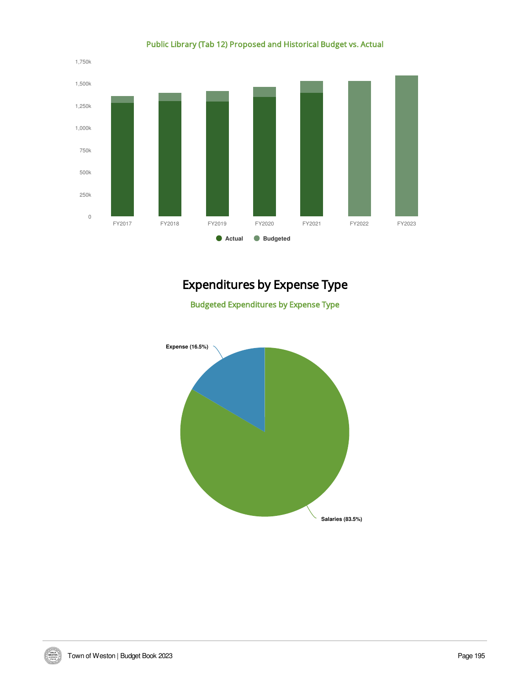

Public Library (Tab 12) Proposed and Historical Budget vs. Actual

# Expenditures by Expense Type



Budgeted Expenditures by Expense Type

WESTON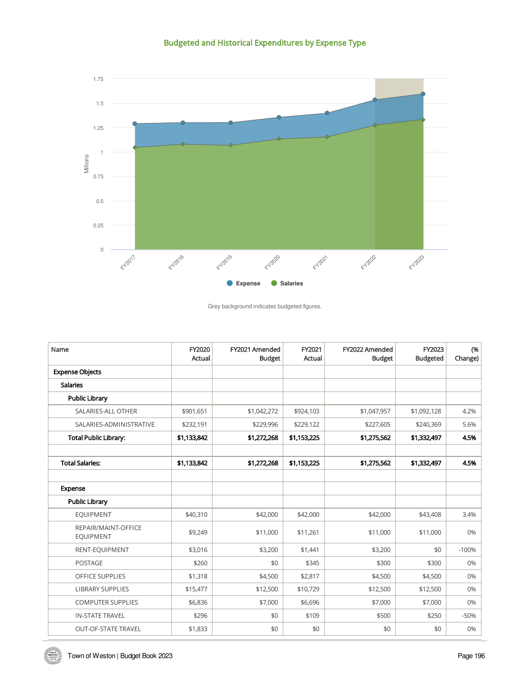Budgeted and Historical Expenditures by Expense Type



Grey background indicates budgeted figures.

| Name                                    | FY2020<br>Actual | FY2021 Amended<br><b>Budget</b> | FY2021<br>Actual | FY2022 Amended<br><b>Budget</b> | FY2023<br><b>Budgeted</b> | (%<br>Change) |
|-----------------------------------------|------------------|---------------------------------|------------------|---------------------------------|---------------------------|---------------|
| <b>Expense Objects</b>                  |                  |                                 |                  |                                 |                           |               |
| <b>Salaries</b>                         |                  |                                 |                  |                                 |                           |               |
| <b>Public Library</b>                   |                  |                                 |                  |                                 |                           |               |
| SALARIES-ALL OTHER                      | \$901,651        | \$1,042,272                     | \$924,103        | \$1,047,957                     | \$1,092,128               | 4.2%          |
| SALARIES-ADMINISTRATIVE                 | \$232,191        | \$229,996                       | \$229,122        | \$227,605                       | \$240,369                 | 5.6%          |
| <b>Total Public Library:</b>            | \$1,133,842      | \$1,272,268                     | \$1,153,225      | \$1,275,562                     | \$1,332,497               | 4.5%          |
|                                         |                  |                                 |                  |                                 |                           |               |
| <b>Total Salaries:</b>                  | \$1,133,842      | \$1,272,268                     | \$1,153,225      | \$1,275,562                     | \$1,332,497               | 4.5%          |
|                                         |                  |                                 |                  |                                 |                           |               |
| Expense                                 |                  |                                 |                  |                                 |                           |               |
| Public Library                          |                  |                                 |                  |                                 |                           |               |
| <b>EQUIPMENT</b>                        | \$40,310         | \$42,000                        | \$42,000         | \$42,000                        | \$43,408                  | 3.4%          |
| REPAIR/MAINT-OFFICE<br><b>EQUIPMENT</b> | \$9,249          | \$11,000                        | \$11,261         | \$11,000                        | \$11,000                  | 0%            |
| RENT-EQUIPMENT                          | \$3,016          | \$3,200                         | \$1,441          | \$3,200                         | \$0                       | $-100%$       |
| <b>POSTAGE</b>                          | \$260            | \$0                             | \$345            | \$300                           | \$300                     | 0%            |
| <b>OFFICE SUPPLIES</b>                  | \$1,318          | \$4,500                         | \$2,817          | \$4,500                         | \$4,500                   | 0%            |
| <b>LIBRARY SUPPLIES</b>                 | \$15,477         | \$12,500                        | \$10,729         | \$12,500                        | \$12,500                  | 0%            |
| <b>COMPUTER SUPPLIES</b>                | \$6,836          | \$7,000                         | \$6,696          | \$7,000                         | \$7,000                   | 0%            |
| <b>IN-STATE TRAVEL</b>                  | \$296            | \$0                             | \$109            | \$500                           | \$250                     | $-50%$        |
| <b>OUT-OF-STATE TRAVEL</b>              | \$1,833          | \$0                             | \$0              | \$0                             | \$0                       | 0%            |